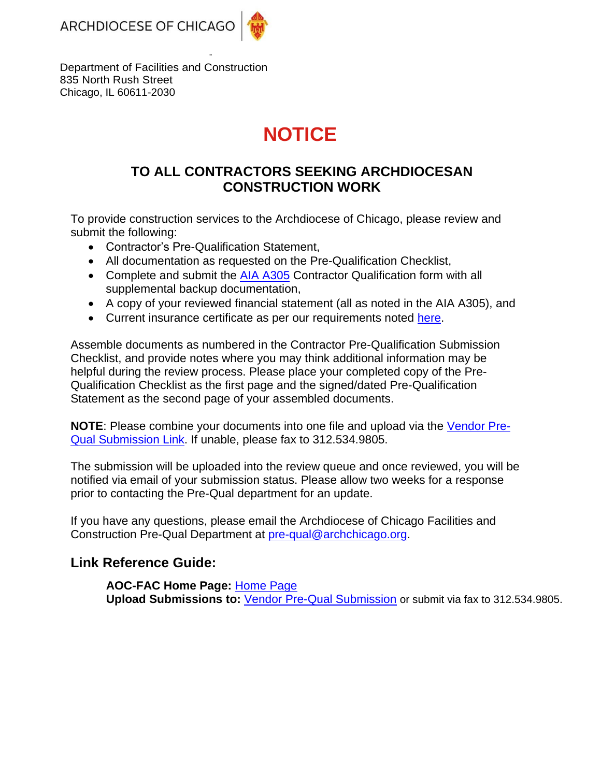ARCHDIOCESE OF CHICAGO



Department of Facilities and Construction 835 North Rush Street Chicago, IL 60611-2030

# **NOTICE**

### **TO ALL CONTRACTORS SEEKING ARCHDIOCESAN CONSTRUCTION WORK**

To provide construction services to the Archdiocese of Chicago, please review and submit the following:

- Contractor's Pre-Qualification Statement,
- All documentation as requested on the Pre-Qualification Checklist,
- Complete and submit the [AIA A305](https://facilities.archchicago.org/documents/1131328/1131495/AIA+305+-+PDF/80f9e714-7503-41c9-9f60-e49cea6ab157) Contractor Qualification form with all supplemental backup documentation,
- A copy of your reviewed financial statement (all as noted in the AIA A305), and
- Current insurance certificate as per our requirements noted [here.](https://facilities.archchicago.org/insurance-requirements/contractor)

Assemble documents as numbered in the Contractor Pre-Qualification Submission Checklist, and provide notes where you may think additional information may be helpful during the review process. Please place your completed copy of the Pre-Qualification Checklist as the first page and the signed/dated Pre-Qualification Statement as the second page of your assembled documents.

**NOTE**: Please combine your documents into one file and upload via the [Vendor Pre-](https://app.smartsheet.com/b/form?EQBCT=9d3f81cb869a4b54a91c86a88b3dc82b)[Qual Submission Link.](https://app.smartsheet.com/b/form?EQBCT=9d3f81cb869a4b54a91c86a88b3dc82b) If unable, please fax to 312.534.9805.

The submission will be uploaded into the review queue and once reviewed, you will be notified via email of your submission status. Please allow two weeks for a response prior to contacting the Pre-Qual department for an update.

If you have any questions, please email the Archdiocese of Chicago Facilities and Construction Pre-Qual Department at [pre-qual@archchicago.org.](mailto:pre-qual@archchicago.org)

### **Link Reference Guide:**

**AOC-FAC Home Page:** [Home Page](https://facilities.archchicago.org/) **Upload Submissions to:** [Vendor Pre-Qual Submission](https://app.smartsheet.com/b/form?EQBCT=9d3f81cb869a4b54a91c86a88b3dc82b) or submit via fax to 312.534.9805.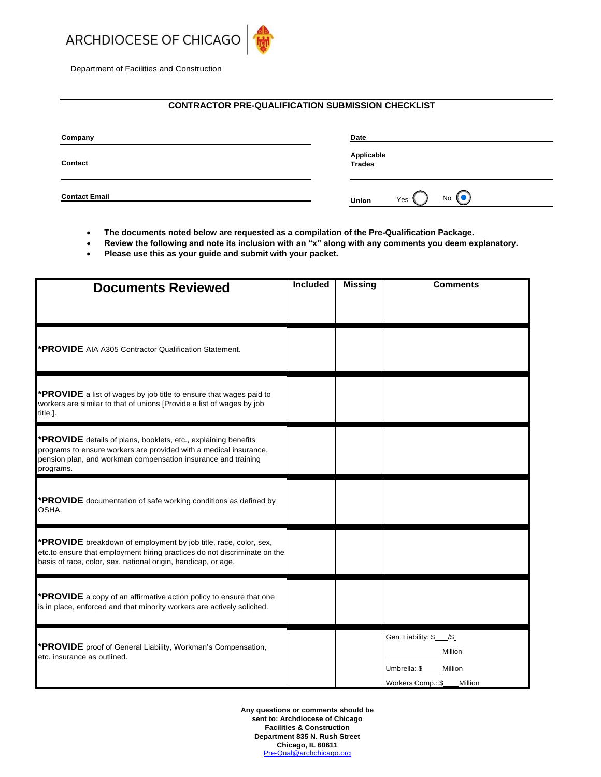

Department of Facilities and Construction

#### **CONTRACTOR PRE-QUALIFICATION SUBMISSION CHECKLIST**

| Company              | Date                      |  |  |
|----------------------|---------------------------|--|--|
| Contact              | Applicable<br>Trades      |  |  |
| <b>Contact Email</b> | <b>No</b><br>Yes<br>Union |  |  |

- **The documents noted below are requested as a compilation of the Pre-Qualification Package.**
- **Review the following and note its inclusion with an "x" along with any comments you deem explanatory.**
- **Please use this as your guide and submit with your packet.**

| <b>Documents Reviewed</b>                                                                                                                                                                                         | <b>Included</b> | <b>Missing</b> | <b>Comments</b>                                                                                 |
|-------------------------------------------------------------------------------------------------------------------------------------------------------------------------------------------------------------------|-----------------|----------------|-------------------------------------------------------------------------------------------------|
|                                                                                                                                                                                                                   |                 |                |                                                                                                 |
| *PROVIDE AIA A305 Contractor Qualification Statement.                                                                                                                                                             |                 |                |                                                                                                 |
| <b>*PROVIDE</b> a list of wages by job title to ensure that wages paid to<br>workers are similar to that of unions [Provide a list of wages by job<br>title.].                                                    |                 |                |                                                                                                 |
| *PROVIDE details of plans, booklets, etc., explaining benefits<br>programs to ensure workers are provided with a medical insurance,<br>pension plan, and workman compensation insurance and training<br>programs. |                 |                |                                                                                                 |
| *PROVIDE documentation of safe working conditions as defined by<br>OSHA.                                                                                                                                          |                 |                |                                                                                                 |
| *PROVIDE breakdown of employment by job title, race, color, sex,<br>etc.to ensure that employment hiring practices do not discriminate on the<br>basis of race, color, sex, national origin, handicap, or age.    |                 |                |                                                                                                 |
| <b>*PROVIDE</b> a copy of an affirmative action policy to ensure that one<br>is in place, enforced and that minority workers are actively solicited.                                                              |                 |                |                                                                                                 |
| *PROVIDE proof of General Liability, Workman's Compensation,<br>etc. insurance as outlined.                                                                                                                       |                 |                | Gen. Liability: \$___/\$_<br>Million<br>Umbrella: \$<br>Million<br>Workers Comp.: \$<br>Million |

**Any questions or comments should be sent to: Archdiocese of Chicago Facilities & Construction Department 835 N. Rush Street Chicago, IL 60611** Pre‐[Qual@archchicago.org](mailto:Qual@archchicago.org)